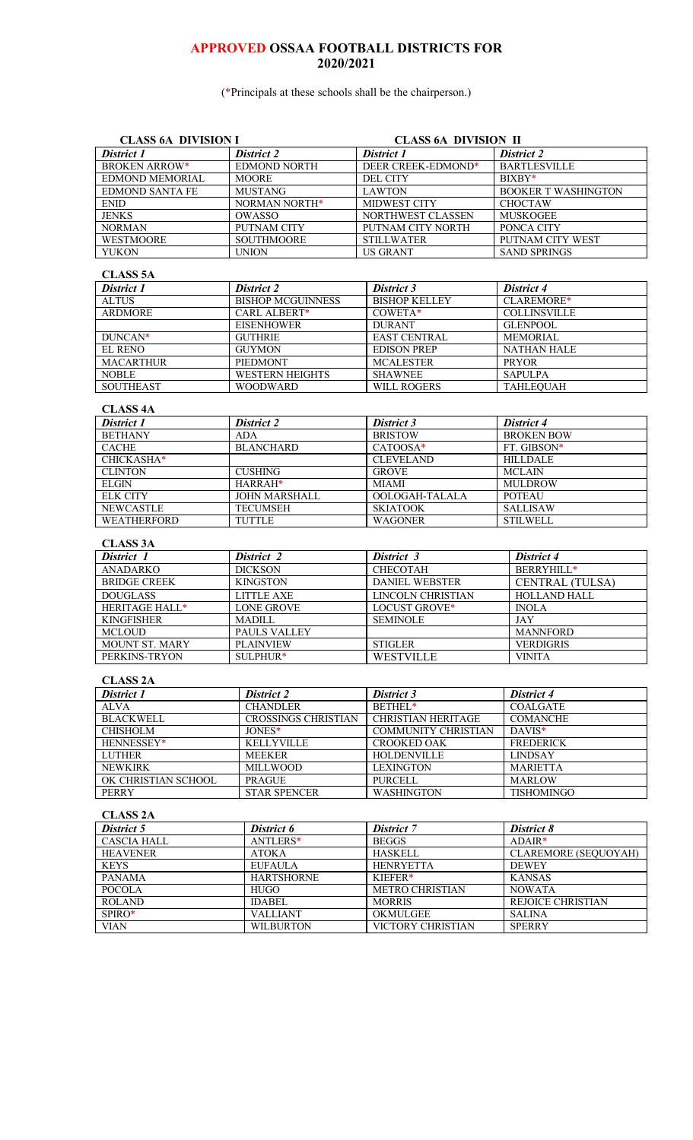# **APPROVED OSSAA FOOTBALL DISTRICTS FOR 2020/2021**

(\*Principals at these schools shall be the chairperson.)

| <b>CLASS 6A DIVISION I</b>          |                                      | <b>CLASS 6A DIVISION II</b>               |                                               |  |
|-------------------------------------|--------------------------------------|-------------------------------------------|-----------------------------------------------|--|
| District 1                          | <b>District 2</b>                    | District 1                                | District 2                                    |  |
| <b>BROKEN ARROW*</b>                | <b>EDMOND NORTH</b>                  | DEER CREEK-EDMOND*                        | <b>BARTLESVILLE</b>                           |  |
| EDMOND MEMORIAL                     | <b>MOORE</b>                         | <b>DEL CITY</b>                           | BIXBY*                                        |  |
| <b>EDMOND SANTA FE</b>              | <b>MUSTANG</b>                       | <b>LAWTON</b>                             | <b>BOOKER T WASHINGTON</b>                    |  |
| $\ensuremath{\mathrm{ENID}}$        | NORMAN NORTH*                        | MIDWEST CITY                              | <b>CHOCTAW</b>                                |  |
| <b>JENKS</b>                        | <b>OWASSO</b>                        | NORTHWEST CLASSEN                         | <b>MUSKOGEE</b>                               |  |
| <b>NORMAN</b>                       | PUTNAM CITY                          | PUTNAM CITY NORTH                         | PONCA CITY                                    |  |
| <b>WESTMOORE</b>                    | <b>SOUTHMOORE</b>                    | <b>STILLWATER</b>                         | PUTNAM CITY WEST                              |  |
| <b>YUKON</b>                        | <b>UNION</b>                         | <b>US GRANT</b>                           | <b>SAND SPRINGS</b>                           |  |
| <b>CLASS 5A</b>                     |                                      |                                           |                                               |  |
| District 1                          | District 2                           | District 3                                | District 4                                    |  |
| <b>ALTUS</b>                        | <b>BISHOP MCGUINNESS</b>             | <b>BISHOP KELLEY</b>                      | CLAREMORE*                                    |  |
| <b>ARDMORE</b>                      | CARL ALBERT*                         | COWETA*                                   | <b>COLLINSVILLE</b>                           |  |
|                                     | <b>EISENHOWER</b>                    | <b>DURANT</b>                             | <b>GLENPOOL</b>                               |  |
| DUNCAN*                             | <b>GUTHRIE</b>                       | <b>EAST CENTRAL</b>                       | <b>MEMORIAL</b>                               |  |
| <b>EL RENO</b>                      | <b>GUYMON</b>                        | <b>EDISON PREP</b>                        | <b>NATHAN HALE</b>                            |  |
| <b>MACARTHUR</b>                    | PIEDMONT                             | <b>MCALESTER</b>                          | <b>PRYOR</b>                                  |  |
| <b>NOBLE</b>                        | <b>WESTERN HEIGHTS</b>               | <b>SHAWNEE</b>                            | <b>SAPULPA</b>                                |  |
| <b>SOUTHEAST</b>                    | <b>WOODWARD</b>                      | WILL ROGERS                               | <b>TAHLEQUAH</b>                              |  |
| <b>CLASS 4A</b>                     |                                      |                                           |                                               |  |
| District 1                          | <b>District 2</b>                    | District 3                                | District 4                                    |  |
| <b>BETHANY</b>                      | <b>ADA</b>                           | <b>BRISTOW</b>                            | <b>BROKEN BOW</b>                             |  |
| <b>CACHE</b>                        | <b>BLANCHARD</b>                     | CATOOSA*                                  | FT. GIBSON*                                   |  |
| CHICKASHA*                          |                                      | <b>CLEVELAND</b>                          | <b>HILLDALE</b>                               |  |
| <b>CLINTON</b>                      | <b>CUSHING</b>                       | <b>GROVE</b>                              | <b>MCLAIN</b>                                 |  |
| <b>ELGIN</b>                        | HARRAH*                              | <b>MIAMI</b>                              | <b>MULDROW</b>                                |  |
| <b>ELK CITY</b>                     | <b>JOHN MARSHALL</b>                 | OOLOGAH-TALALA                            | <b>POTEAU</b>                                 |  |
| <b>NEWCASTLE</b>                    | <b>TECUMSEH</b>                      | <b>SKIATOOK</b>                           | <b>SALLISAW</b>                               |  |
| <b>WEATHERFORD</b>                  | <b>TUTTLE</b>                        | <b>WAGONER</b>                            | <b>STILWELL</b>                               |  |
|                                     |                                      |                                           |                                               |  |
| <b>CLASS 3A</b><br>District 1       | District 2                           | District 3                                | District 4                                    |  |
| <b>ANADARKO</b>                     | <b>DICKSON</b>                       | CHECOTAH                                  | BERRYHILL*                                    |  |
| <b>BRIDGE CREEK</b>                 | <b>KINGSTON</b>                      | <b>DANIEL WEBSTER</b>                     |                                               |  |
| <b>DOUGLASS</b>                     | <b>LITTLE AXE</b>                    | <b>LINCOLN CHRISTIAN</b>                  | <b>CENTRAL (TULSA)</b><br><b>HOLLAND HALL</b> |  |
| HERITAGE HALL*                      | <b>LONE GROVE</b>                    | LOCUST GROVE*                             | <b>INOLA</b>                                  |  |
| <b>KINGFISHER</b>                   | <b>MADILL</b>                        | <b>SEMINOLE</b>                           | <b>JAY</b>                                    |  |
| <b>MCLOUD</b>                       | PAULS VALLEY                         |                                           | <b>MANNFORD</b>                               |  |
| MOUNT ST. MARY                      | <b>PLAINVIEW</b>                     | <b>STIGLER</b>                            | <b>VERDIGRIS</b>                              |  |
| PERKINS-TRYON                       | SULPHUR*                             | <b>WESTVILLE</b>                          | <b>VINITA</b>                                 |  |
|                                     |                                      |                                           |                                               |  |
| <b>CLASS 2A</b>                     |                                      |                                           |                                               |  |
| District 1                          | District 2                           | District 3                                | District 4                                    |  |
| <b>ALVA</b>                         | <b>CHANDLER</b>                      | BETHEL*                                   | <b>COALGATE</b>                               |  |
| <b>BLACKWELL</b><br><b>CHISHOLM</b> | <b>CROSSINGS CHRISTIAN</b><br>JONES* | <b>CHRISTIAN HERITAGE</b>                 | <b>COMANCHE</b>                               |  |
| HENNESSEY*                          | <b>KELLYVILLE</b>                    | COMMUNITY CHRISTIAN<br><b>CROOKED OAK</b> | DAVIS*<br><b>FREDERICK</b>                    |  |
| <b>LUTHER</b>                       | <b>MEEKER</b>                        | <b>HOLDENVILLE</b>                        | <b>LINDSAY</b>                                |  |
| <b>NEWKIRK</b>                      | <b>MILLWOOD</b>                      | <b>LEXINGTON</b>                          | <b>MARIETTA</b>                               |  |
| OK CHRISTIAN SCHOOL                 | <b>PRAGUE</b>                        | <b>PURCELL</b>                            | <b>MARLOW</b>                                 |  |
| <b>PERRY</b>                        | <b>STAR SPENCER</b>                  | <b>WASHINGTON</b>                         | <b>TISHOMINGO</b>                             |  |
|                                     |                                      |                                           |                                               |  |
| <b>CLASS 2A</b><br>District 5       |                                      |                                           |                                               |  |
| <b>CASCIA HALL</b>                  | District 6<br>ANTLERS*               | <b>District</b> 7<br><b>BEGGS</b>         | District 8<br>$ADAIR*$                        |  |
| <b>HEAVENER</b>                     | <b>ATOKA</b>                         | <b>HASKELL</b>                            | <b>CLAREMORE</b> (SEQUOYAH)                   |  |
|                                     |                                      |                                           | <b>DEWEY</b>                                  |  |
|                                     |                                      |                                           |                                               |  |
| <b>KEYS</b>                         | <b>EUFAULA</b>                       | <b>HENRYETTA</b>                          |                                               |  |
| <b>PANAMA</b>                       | <b>HARTSHORNE</b>                    | KIEFER*                                   | <b>KANSAS</b>                                 |  |
| <b>POCOLA</b>                       | <b>HUGO</b>                          | <b>METRO CHRISTIAN</b>                    | <b>NOWATA</b>                                 |  |
| <b>ROLAND</b>                       | <b>IDABEL</b>                        | <b>MORRIS</b>                             | REJOICE CHRISTIAN                             |  |
| SPIRO*<br><b>VIAN</b>               | <b>VALLIANT</b><br><b>WILBURTON</b>  | OKMULGEE<br>VICTORY CHRISTIAN             | <b>SALINA</b><br><b>SPERRY</b>                |  |